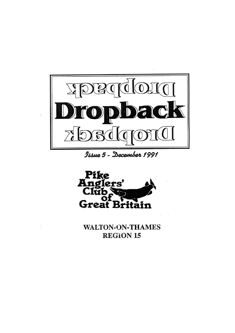

Issue 5 - December 1991



**WALTON-ON-THAMES REGION 15**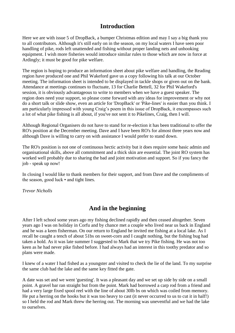### **Introduction**

Here we are with issue 5 of DropBack, a bumper Christmas edition and may I say a big thank you to all contributors. Although it's still early on in the season, on my local waters I have seen poor handling of pike, rods left unattended and fishing without proper landing nets and unhooking equipment. I wish more fisheries would introduce similar rules to those which are now in force at Ardingly; it must be good for pike welfare.

The region is hoping to produce an information sheet about pike welfare and handling, the Reading region have produced one and Phil Wakeford gave us a copy following his talk at our October meeting. The information sheet is intended to be displayed in tackle shops or given out on the bank. Attendance at meetings continues to fluctuate, 13 for Charlie Bettell, 32 for Phil Wakeford's session, it is obviously advantageous to write to members when we have a guest speaker. The region does need your support, so please come forward with any ideas for improvement or why not do a short talk or slide show, even an article for 'DropBack' or 'Pike-lines' is easier than you think. I am particularly impressed with young Craig's poem in this issue of DropBack, it encompasses such a lot of what pike fishing is all about, if you've not sent it to Pikelines, Craig, then I will.

Although Regional Organisers do not have to stand for re-election it has been traditional to offer the RO's position at the December meeting. Dave and I have been RO's for almost three years now and although Dave is willing to carry on with assistance I would prefer to stand down.

The RO's position is not one of continuous hectic activity but it does require some basic admin and organisational skills, above all commitment and a thick skin are essential. The joint RO system has worked well probably due to sharing the bad and joint motivation and support. So if you fancy the job - speak up now!

In closing I would like to thank members for their support, and from Dave and the compliments of the season, good luck • and tight lines.

*Trevor Nicholls*

### **And in the beginning**

After I left school some years ago my fishing declined rapidly and then ceased altogether. Seven years ago I was on holiday in Corfu and by chance met a couple who lived near us back in England and he was a keen fisherman. On our return to England he invited me fishing at a local lake. As I recall he caught a tench of about 51bs on sweet-corn and I caught nothing, but the fishing bug had taken a hold. As it was late summer I suggested to Mark that we try Pike fishing. He was not too keen as he had never pike fished before. I had always had an interest in this toothy predator and so plans were made.

I knew of a water I had fished as a youngster and visited to check the lie of the land. To my surprise the same club had the lake and the same key fitted the gate.

A date was set and we went 'guesting'. It was a pleasant day and we set up side by side on a small point. A gravel bar ran straight but from the point. Mark had borrowed a carp rod from a friend and had a very large fixed spool reel with the line of about 30lb bs on which was coiled from memory. He put a herring on the hooks but it was too heavy to cast (it never occurred to us to cut it in half!) so I held the rod and Mark threw the herring out. The morning was uneventful and we had the lake to ourselves.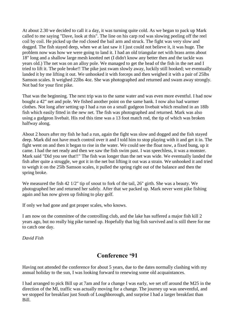At about 2.30 we decided to call it a day, it was turning quite cold. As we began to pack up Mark called to me saying "Dave, look at this". The line on his carp rod was slowing peeling off the reel coil by coil. He picked up the rod closed the bail arm and struck. The fight was very slow and dogged. The fish stayed deep, when we at last saw it I just could not believe it, it was huge. The problem now was how we were going to land it. I had an old triangular net with brass arms about 18" long and a shallow large mesh knotted net (I didn't know any better then and the tackle was years old.) The net was on an alloy pole. We managed to get the head of the fish in the net and I tried to lift it. The pole broke!! The pike just swam slowly away, luckily still hooked; we eventually landed it by me lifting it out. We unhooked it with forceps and then weighed it with a pair of 25lbs Samson scales. It weighed 22lbs 4oz. She was photographed and returned and swam away strongly. Not bad for your first pike.

That was the beginning. The next trip was to the same water and was even more eventful. I had now bought a 42" net and pole. We fished another point on the same bank. I now also had warmer clothes. Not long after setting up I had a run on a small gudgeon livebait which resulted in an 18lb fish which easily fitted in the new net. The fish was photographed and returned. Mark was also using a gudgeon livebait. His rod this time was a 13 foot match rod, the tip of which was broken halfway along.

About 2 hours after my fish he had a run, again the fight was slow and dogged and the fish stayed deep. Mark did not have much control over it and I told him to stop playing with it and get it in. The fight went on and then it began to rise in the water. We could see the float now, a fixed bung, up it came. I had the net ready and then we saw the fish swim past. I was speechless, it was a monster. Mark said "Did you see that!!" The fish was longer than the net was wide. We eventually landed the fish after quite a struggle, we got it in the net but lifting it out was a strain. We unhooked it and tried to weigh it on the 25lb Samson scales, it pulled the spring right out of the balance and then the spring broke.

We measured the fish 42 1/2" tip of snout to fork of the tail, 26" girth. She was a beauty. We photographed her and returned her safely. After that we packed up. Mark never went pike fishing again and has now given up fishing to play golf.

If only we had gone and got proper scales, who knows.

I am now on the committee of the controlling club, and the lake has suffered a major fish kill 2 years ago, but no really big pike turned up. Hopefully that big fish survived and is still there for me to catch one day.

*David Fish*

### **Conference "91**

Having not attended the conference for about 5 years, due to the dates normally clashing with my annual holiday to the sun, I was looking forward to renewing some old acquaintances.

I had arranged to pick Bill up at 7am and for a change I was early, we set off around the M25 in the direction of the Ml, traffic was actually moving for a change. The journey up was uneventful, and we stopped for breakfast just South of Loughborough, and surprise I had a larger breakfast than Bill.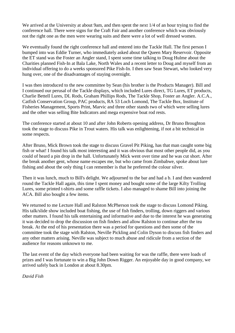We arrived at the University at about 9am, and then spent the next  $1/4$  of an hour trying to find the conference hall. There were signs for the Craft Fair and another conference which was obviously not the right one as the men were wearing suits and there were a lot of well dressed women.

We eventually found the right conference hall and entered into the Tackle Hall. The first person I bumped into was Eddie Turner, who immediately asked about the Queen Mary Reservoir. Opposite the ET stand was the Foster an Angler stand, I spent some time talking to Doug Hulme about the Charities planned Fish-In at Bala Lake, North Wales and a recent letter to Doug and myself from an individual offering to do a weeks sponsored Pike Fish-In. I then saw Sean Stewart, who looked very hung over, one of the disadvantages of staying overnight.

I was then introduced to the new committee by Sean (his brother is the Products Manager). Bill and I continued our perusal of the Tackle displays, which included Lures direct, TG Lures, ET products, Charlie Bettell Lures, DL Rods, Graham Phillips Rods, The Tackle Shop, Foster an Angler. A.C.A., Catfish Conservation Group, PAC products, RA 53 Loch Lomond, The Tackle Box, Institute of Fisheries Management, Sports Print, Marvic and three other stands two of which were selling lures and the other was selling Bite Indicators and mega expensive boat rod rests.

The conference started at about 10 and after John Roberts opening address, Dr Bruno Broughton took the stage to discuss Pike in Trout waters. His talk was enlightening, if not a bit technical in some respects.

After Bruno, Mick Brown took the stage to discuss Gravel Pit Piking, has that man caught some big fish or what! I found his talk most interesting and it was obvious that most other people did, as you could of heard a pin drop in the hall. Unfortunately Mick went over time and he was cut short. After the break another gent, whose name escapes me, but who came from Zimbabwe, spoke about lure fishing and about the only thing I can remember is that he preferred the colour silver.

Then it was lunch, much to Bill's delight. We adjourned to the bar and had a b. I and then wandered round the Tackle Hall again, this time I spent money and bought some of the large Kilty Trolling Lures, some printed t-shirts and some raffle tickets. I also managed to shame Bill into joining the ACA. Bill also bought a few items.

We returned to me Lecture Hall and Ralston McPherson took the stage to discuss Lomond Piking. His talk/slide show included boat fishing, the use of fish finders, trolling, down riggers and various other matters. I found his talk entertaining and informative and due to the interest he was generating it was decided to drop the discussion on fish finders and allow Ralston to continue after the tea break. At the end of his presentation there was a period for questions and then some of the committee took the stage with Ralston, Neville Pickling and Colin Dyson to discuss fish finders and any other matters arising. Neville was subject to much abuse and ridicule from a section of the audience for reasons unknown to me.

The last event of the day which everyone had been waiting for was the raffle, there were loads of prizes and I was fortunate to win a Big John Down Rigger. An enjoyable day in good company, we arrived safely back in London at about 8.30pm.

*David Fish*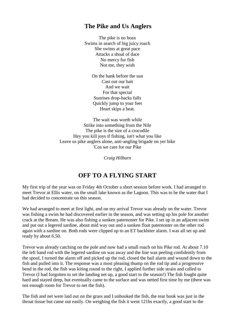### **The Pike and Us Anglers**

The pike is no hoax Swims in search of big juicy roach She swims at great pace Attacks a shoal of dace No mercy for fish Not me, they wish

> On the bank before the sun Cast out our bait And we wait For that special Sunrises drop-backs falls Quickly jump to your feet Heart skips a beat.

The wait was worth while Strike into something from the Nile The pike is the size of a crocodile Hey you kill joys if fishing, isn't what you like Leave us pike anglers alone, anti-angling brigade on yer bike 'Cos we care for our Pike

*Craig Hilburn*

### **OFF TO A FLYING START**

My first trip of the year was on Friday 4th October a short session before work. I had arranged to meet Trevor at Ellis water, on the small lake known as the Lagoon. This was to be the water that I had decided to concentrate on this season.

We had arranged to meet at first light, and on my arrival Trevor was already on the water. Trevor was fishing a swim he had discovered earlier in the season, and was setting up his pole for another crack at the Bream. He was also fishing a sunken paternoster for Pike. I set up in an adjacent swim and put out a legered sardine, about mid way out and a sunken float paternoster on the other rod again with a sardine on. Both rods were clipped up to an ET backbiter alarm. I was all set up and ready by about 6.50.

Trevor was already catching on the pole and now had a small roach on his Pike rod. At about 7.10 the left hand rod with the legered sardine on was away and the line was peeling confidently from the spool, I turned the alarm off and picked up the rod, closed the bail alarm and wound down to the fish and pulled into it. The response was a most pleasing thump on the rod tip and a progressive bend in the rod, the fish was kiting round to the right, I applied further side strain and called to Trevor (I had forgotten to set the landing net up, a good start to the season!) The fish fought quite hard and stayed deep, but eventually came to the surface and was netted first time by me (there was not enough room for Trevor to net the fish).

The fish and net were laid out on the grass and I unhooked the fish, the rear hook was just in the throat tissue but came out easily. On weighing the fish it went 121bs exactly, a good start to the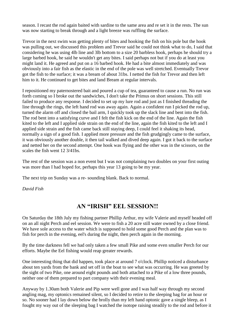season. I recast the rod again baited with sardine to the same area and re set it in the rests. The sun was now starting to break through and a light breeze was ruffling the surface.

Trevor in the next swim was getting plenty of bites and hooking the fish on his pole but the hook was pulling out, we discussed this problem and Trevor said he could not think what to do, I said that considering he was using 4lb line and 3lb bottom to a size 20 barbless hook, perhaps he should try a large barbed hook, he said he wouldn't get any bites. I said perhaps not but if you do at least you might land it. He agreed and put on a 16 barbed hook. He had a bite almost immediately and was obviously into a fair fish as the elastic in the end of the pole was well stretched. Eventually Trevor got the fish to the surface; it was a bream of about 31bs. I netted the fish for Trevor and then left him to it. He continued to get bites and land Bream at regular intervals.

I repositioned my paternostered bait and poured a cup of tea, guaranteed to cause a run. No run was forth coming so I broke out the sandwiches, I don't take the Primus on short sessions. This still failed to produce any response. I decided to set up my lure rod and just as I finished threading the line through the rings, the left hand rod was away again. Again a confident run I picked the rod up, turned the alarm off and closed the bail arm, I quickly took up the slack line and bent into the fish. The rod bent into a satisfying curve and I felt the fish kick on the end of the line. Again the fish kited to the left and I applied side strain on the end of the line, again the fish kited to the left and I applied side strain and the fish came back still staying deep, I could feel it shaking its head, normally a sign of a good fish. I applied more pressure and the fish grudgingly came to the surface, it was obviously another double, it then tail walked and dived deep again. I got it back to the surface and netted her on the second attempt. One hook was flying and the other was in the scissors, on the scales the fish went 12 3/41bs.

The rest of the session was a non event but I was not complaining two doubles on your first outing was more than I had hoped for, perhaps this year 13 going to be my year.

The next trip on Sunday was a re- sounding blank. Back to normal.

*David Fish*

### **AN "IRISH" EEL SESSION!!**

On Saturday the 18th July my fishing partner Phillip Arthur, my wife Valerie and myself headed off on an all night Perch and eel session. We were to fish a 20 acre still water owned by a close friend. We have sole access to the water which is supposed to hold some good Perch and the plan was to fish for perch in the evening, eel's during the night, then perch again in the morning.

By the time darkness fell we had only taken a few small Pike and some even smaller Perch for our efforts. Maybe the Eel fishing would reap greater rewards.

One interesting thing that did happen, took place at around 7 o'clock. Phillip noticed a disturbance about ten yards from the bank and set off in the boat to see what was occurring. He was greeted by the sight of two Pike, one around eight pounds and both attached to a Pike of a low three pounds, neither one of them prepared to part company with their evening meal.

Anyway by 1.30am both Valerie and Pip were well gone and I was half way through my second angling mag, my optonics remained silent, so I decided to retire to the sleeping bag for an hour or so. No sooner had I lay down below the brolly than my left hand optonic gave a single bleep, as I fought my way out of the sleeping bag I watched the isotope raising steadily to the rod and before it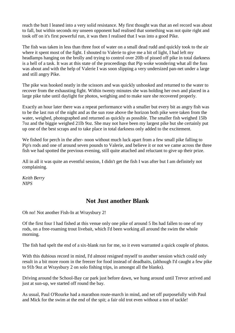reach the butt I leaned into a very solid resistance. My first thought was that an eel record was about to fall, but within seconds my unseen opponent had realised that something was not quite right and took off on it's first powerful run, it was then I realised that I was into a good Pike.

The fish was taken in less than three foot of water on a small dead rudd and quickly took to the air where it spent most of the fight. I shouted to Valerie to give me a bit of light, I had left my headlamps hanging on the brolly and trying to control over 20lb of pissed off pike in total darkness is a hell of a task. It was at this state of the proceedings that Pip woke wondering what all the fuss was about and with the help of Valerie I was soon slipping a very undersized pan-net under a large and still angry Pike.

The pike was hooked neatly in the scissors and was quickly unhooked and returned to the water to recover from the exhausting fight. Within twenty minutes she was holding her own and placed in a large pike tube until daylight for photos, weighing and to make sure she recovered properly.

Exactly an hour later there was a repeat performance with a smaller but every bit as angry fish was to be the last run of the night and as the sun rose above the horizon both pike were taken from the water, weighed, photographed and returned as quickly as possible. The smaller fish weighed 15lb 7oz and the biggie weighed 21lb 9oz. She may not have been my largest pike but she certainly put up one of the best scraps and to take place in total darkness only added to the excitement.

We fished for perch in the after-noon without much luck apart from a few small pike falling to Pip's rods and one of around seven pounds to Valerie, and believe it or not we came across the three fish we had spotted the previous evening, still quite attached and reluctant to give up their prize.

All in all it was quite an eventful session, I didn't get the fish I was after but I am definitely not complaining.

*Keith Berry NIPS*

### **Not Just another Blank**

Oh no! Not another Fish-In at Wraysbury 2!

Of the first four I had fished at this venue only one pike of around 5 lbs had fallen to one of my rods, on a free-roaming trout livebait, which I'd been working all around the swim the whole morning.

The fish had spelt the end of a six-blank run for me, so it even warranted a quick couple of photos.

With this dubious record in mind, I'd almost resigned myself to another session which could only result in a bit more room in the freezer for food instead of deadbaits, (although I'd caught a few pike to 91b 9oz at Wraysbury 2 on solo fishing trips, in amongst all the blanks).

Driving around the School-Bay car park just before dawn, we hung around until Trevor arrived and just at sun-up, we started off round the bay.

As usual, Paul O'Rourke had a marathon route-march in mind, and set off purposefully with Paul and Mick for the swim at the end of the spit; a fair old trot even without a ton of tackle!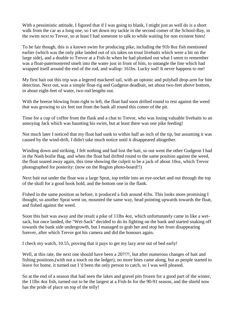With a pessimistic attitude, I figured that if I was going to blank, I might just as well do is a short walk from the car as a long one, so I set down my tackle in the second comer of the School-Bay, in the swim next to Trevor, so at least I had someone to talk to while waiting for non existent bites!

To be fair though, this is a known swim for producing pike, including the 91b 8oz fish mentioned earlier (which was the only pike landed out of six takes on trout livebaits which were a bit on the large side), and a double to Trevor at a Fish-In when he had plonked out what I seem to remember was a float-paternostered smelt into the water just in front of him, to untangle the line which had wrapped itself around the end of the rod, and wallop: 161bs. Lucky sod! It never happens to me!

My first bait out this trip was a legered mackerel tail, with an optonic and polyball drop-arm for bite detection. Next out, was a simple float-rig and Gudgeon deadbait, set about two-feet above bottom, in about eight-feet of water, two rod lengths out.

With the breeze blowing from right to left, the float had soon drifted round to rest against the weed that was growing to six feet out from the bank all round this comer of the pit.

Time for a cup of coffee from the flask and a chat to Trevor, who was losing valuable livebaits to an annoying Jack which was haunting his swim, but at least there was one pike feeding!

Not much later I noticed that my float had sunk to within half an inch of the tip, but assuming it was caused by the wind-drift, I didn't take much notice until it disappeared altogether.

Winding down and striking, I felt nothing and had lost the bait, so out went the other Gudgeon I had in the Nash boilie Bag, and when the float had drifted round to the same position against the weed, the float soared away again, this time showing the culprit to be a jack of about 10oz, which Trevor photographed for posterity: (now on the Region photo-board!!)

Next bait out under the float was a large Sprat, top treble into an eye-socket and out through the top of the skull for a good hook hold, and the bottom one in the flank.

Fished in the same position as before, it produced a fish around 41bs. This looks more promising I thought, so another Sprat went on, mounted the same way, head pointing upwards towards the float, and fished against the weed.

Soon this bait was away and the result a pike of 11lbs 4oz, which unfortunately came in like a wetsack, but once landed, the "Wet-Sack" decided to do its fighting on the bank and started snaking off towards the bank side undergrowth, but I managed to grab her and stop her from disappearing forever, after which Trevor got his camera and did the honours again.

I check my watch, 10.55, proving that it pays to get my lazy arse out of bed early!

Well, at this rate, the next one should have been a 20?!?!, but after numerous changes of bait and fishing positions,(with not a touch on the ledger), no more bites came along, but as people started to leave for home, it turned out I 'd been the only person to catch, so I was well pleased.

So at the end of a season that had seen the lakes and gravel pits frozen for a good part of the winter, the 11lbs 4oz fish, turned out to be the largest at a Fish-In for the 90-91 season, and the shield now has the pride of place on top of the telly!